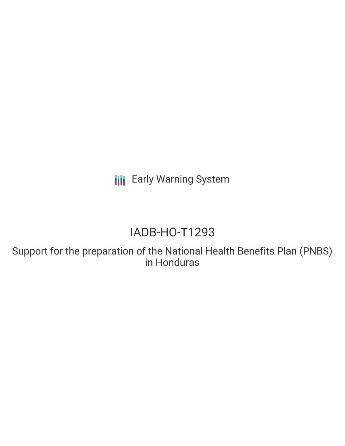**III** Early Warning System

# IADB-HO-T1293

Support for the preparation of the National Health Benefits Plan (PNBS) in Honduras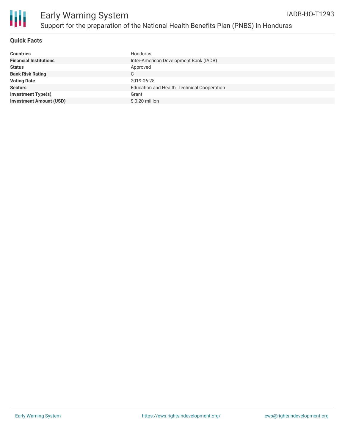

#### **Quick Facts**

| <b>Countries</b>               | Honduras                                    |
|--------------------------------|---------------------------------------------|
| <b>Financial Institutions</b>  | Inter-American Development Bank (IADB)      |
| <b>Status</b>                  | Approved                                    |
| <b>Bank Risk Rating</b>        | C                                           |
| <b>Voting Date</b>             | 2019-06-28                                  |
| <b>Sectors</b>                 | Education and Health, Technical Cooperation |
| <b>Investment Type(s)</b>      | Grant                                       |
| <b>Investment Amount (USD)</b> | \$0.20 million                              |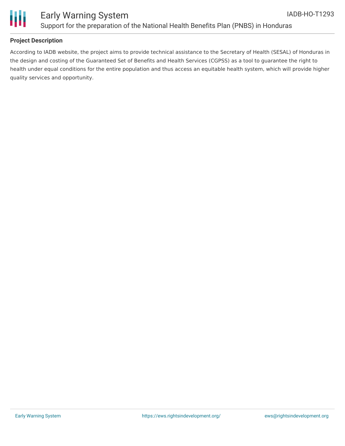



### **Project Description**

According to IADB website, the project aims to provide technical assistance to the Secretary of Health (SESAL) of Honduras in the design and costing of the Guaranteed Set of Benefits and Health Services (CGPSS) as a tool to guarantee the right to health under equal conditions for the entire population and thus access an equitable health system, which will provide higher quality services and opportunity.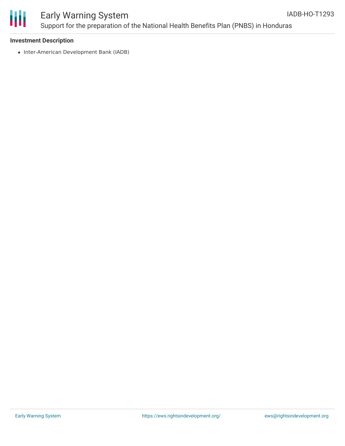

# Early Warning System Support for the preparation of the National Health Benefits Plan (PNBS) in Honduras

#### **Investment Description**

• Inter-American Development Bank (IADB)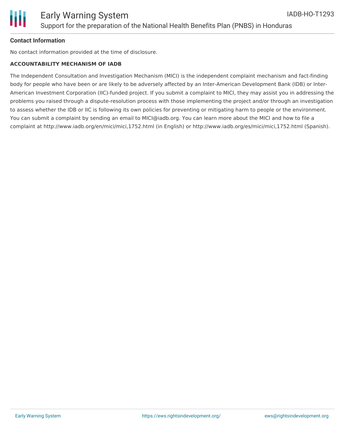### **Contact Information**

No contact information provided at the time of disclosure.

#### **ACCOUNTABILITY MECHANISM OF IADB**

The Independent Consultation and Investigation Mechanism (MICI) is the independent complaint mechanism and fact-finding body for people who have been or are likely to be adversely affected by an Inter-American Development Bank (IDB) or Inter-American Investment Corporation (IIC)-funded project. If you submit a complaint to MICI, they may assist you in addressing the problems you raised through a dispute-resolution process with those implementing the project and/or through an investigation to assess whether the IDB or IIC is following its own policies for preventing or mitigating harm to people or the environment. You can submit a complaint by sending an email to MICI@iadb.org. You can learn more about the MICI and how to file a complaint at http://www.iadb.org/en/mici/mici,1752.html (in English) or http://www.iadb.org/es/mici/mici,1752.html (Spanish).